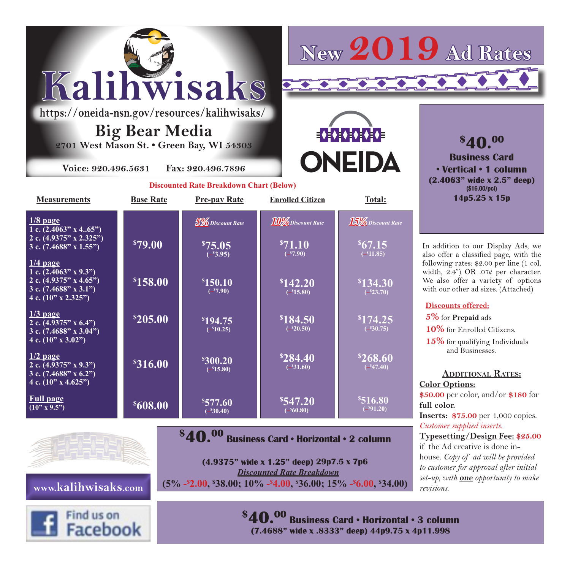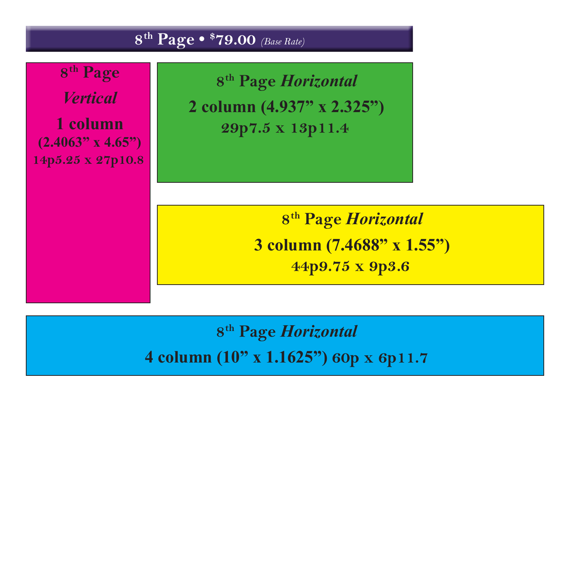

## **8th Page** *Horizontal*  **4 column (10" x 1.1625") 60p x 6p11.7**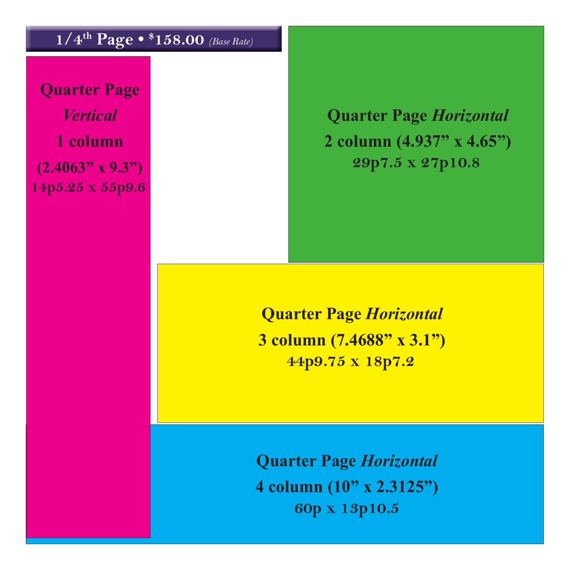## **1/4th Page • \$ 158.00** *(Base Rate)*

**Quarter Page** *Vertical*  **1 column (2.4063" x 9.3") 14p5.25 x 55p9.6**

**Quarter Page** *Horizontal* **2 column (4.937" x 4.65") 29p7.5 x 27p10.8**

**Quarter Page** *Horizontal* **3 column (7.4688" x 3.1") 44p9.75 x 18p7.2**

**Quarter Page** *Horizontal* **4 column (10" x 2.3125") 60p x 13p10.5**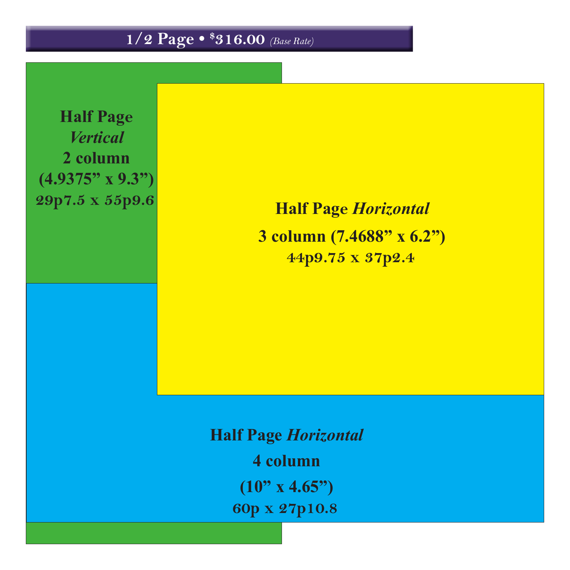**1/2 Page • \$ 316.00** *(Base Rate)*

**Half Page** *Vertical* **2 column (4.9375" x 9.3") 29p7.5 x 55p9.6**

**Half Page** *Horizontal* **3 column (7.4688" x 6.2") 44p9.75 x 37p2.4**

**Half Page** *Horizontal* **4 column (10" x 4.65") 60p x 27p10.8**